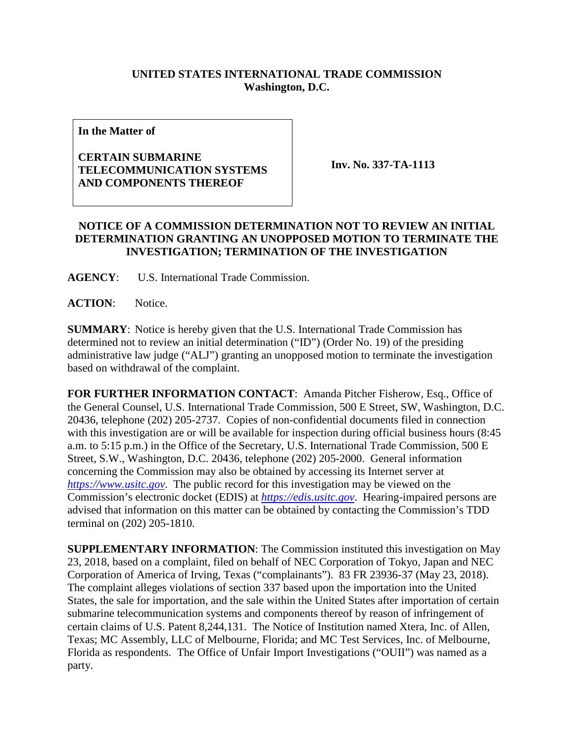## **UNITED STATES INTERNATIONAL TRADE COMMISSION Washington, D.C.**

**In the Matter of**

## **CERTAIN SUBMARINE TELECOMMUNICATION SYSTEMS AND COMPONENTS THEREOF**

**Inv. No. 337-TA-1113**

## **NOTICE OF A COMMISSION DETERMINATION NOT TO REVIEW AN INITIAL DETERMINATION GRANTING AN UNOPPOSED MOTION TO TERMINATE THE INVESTIGATION; TERMINATION OF THE INVESTIGATION**

**AGENCY**: U.S. International Trade Commission.

**ACTION**: Notice.

**SUMMARY**: Notice is hereby given that the U.S. International Trade Commission has determined not to review an initial determination ("ID") (Order No. 19) of the presiding administrative law judge ("ALJ") granting an unopposed motion to terminate the investigation based on withdrawal of the complaint.

**FOR FURTHER INFORMATION CONTACT**: Amanda Pitcher Fisherow, Esq., Office of the General Counsel, U.S. International Trade Commission, 500 E Street, SW, Washington, D.C. 20436, telephone (202) 205-2737. Copies of non-confidential documents filed in connection with this investigation are or will be available for inspection during official business hours (8:45 a.m. to 5:15 p.m.) in the Office of the Secretary, U.S. International Trade Commission, 500 E Street, S.W., Washington, D.C. 20436, telephone (202) 205-2000. General information concerning the Commission may also be obtained by accessing its Internet server at *[https://www.usitc.gov](https://www.usitc.gov/)*. The public record for this investigation may be viewed on the Commission's electronic docket (EDIS) at *[https://edis.usitc.gov](https://edis.usitc.gov/)*. Hearing-impaired persons are advised that information on this matter can be obtained by contacting the Commission's TDD terminal on (202) 205-1810.

**SUPPLEMENTARY INFORMATION**: The Commission instituted this investigation on May 23, 2018, based on a complaint, filed on behalf of NEC Corporation of Tokyo, Japan and NEC Corporation of America of Irving, Texas ("complainants"). 83 FR 23936-37 (May 23, 2018). The complaint alleges violations of section 337 based upon the importation into the United States, the sale for importation, and the sale within the United States after importation of certain submarine telecommunication systems and components thereof by reason of infringement of certain claims of U.S. Patent 8,244,131. The Notice of Institution named Xtera, Inc. of Allen, Texas; MC Assembly, LLC of Melbourne, Florida; and MC Test Services, Inc. of Melbourne, Florida as respondents. The Office of Unfair Import Investigations ("OUII") was named as a party.